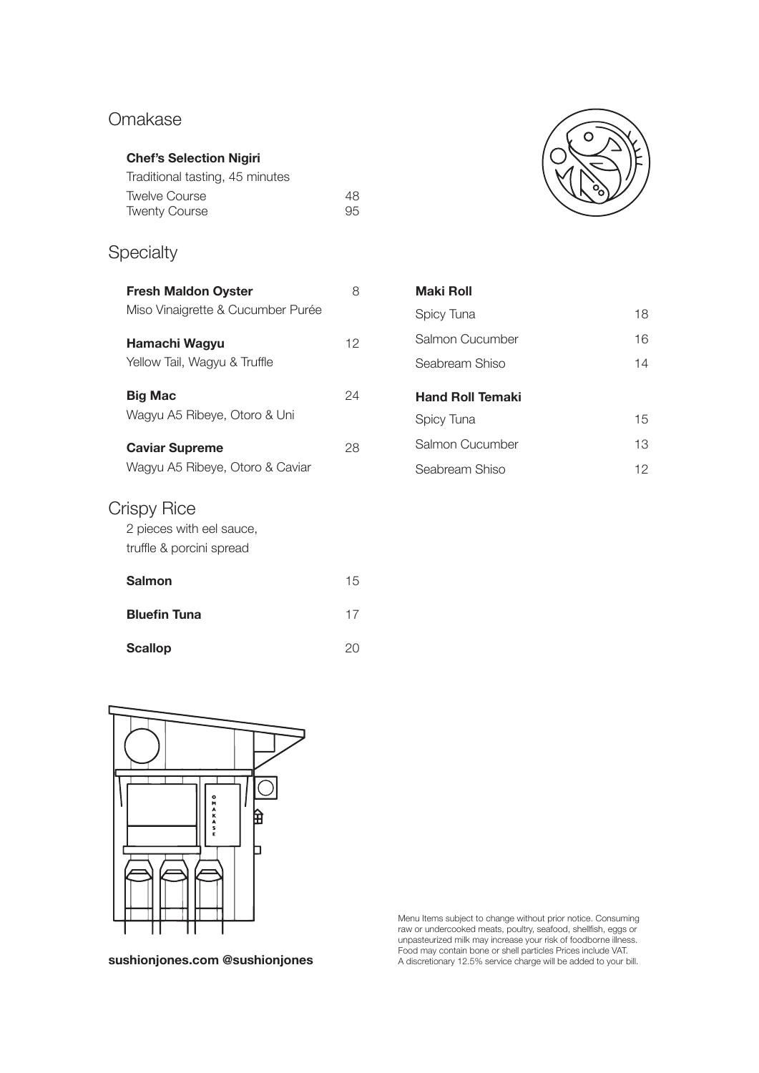## Omakase

## **Chef's Selection Nigiri**

| Traditional tasting, 45 minutes |    |
|---------------------------------|----|
| <b>Twelve Course</b>            | 48 |
| <b>Twenty Course</b>            | 95 |

## **Specialty**

| <b>Fresh Maldon Oyster</b><br>Miso Vinaigrette & Cucumber Purée     | Я  |
|---------------------------------------------------------------------|----|
| Hamachi Wagyu<br>Yellow Tail, Wagyu & Truffle                       | 12 |
| Big Mac<br>Wagyu A5 Ribeye, Otoro & Uni                             | 24 |
| <b>Caviar Supreme</b><br>Wagyu A5 Ribeye, Otoro & Caviar            | 28 |
| Crispy Rice<br>2 pieces with eel sauce,<br>truffle & porcini spread |    |

**Salmon** 15

**Bluefin Tuna** 17

Scallop 20



## **Maki Roll** Spicy Tuna 18 Salmon Cucumber 16 Seabream Shiso 14 **Hand Roll Temaki**  Spicy Tuna 15 Salmon Cucumber 13 Seabream Shiso 12



Menu Items subject to change without prior notice. Consuming raw or undercooked meats, poultry, seafood, shellfish, eggs or unpasteurized milk may increase your risk of foodborne illness. **F**ood may contain bone or shell particles Prices include VAT.<br>A discretionary 12.5% service charge will be added to your bill. **Sushionjones** A discretionary 12.5% service charge will be added to your bill.